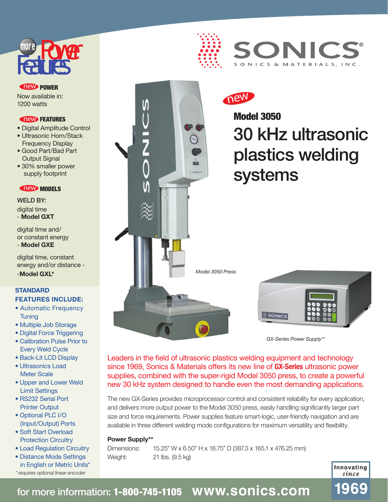# **Features**

## **new POWER**

Now available in: 1200 watts

#### **new FEATURES**

- Digital Amplitude Control
- Ultrasonic Horn/Stack Frequency Display
- Good Part/Bad Part Output Signal
- 30% smaller power supply footprint

## **new MODELS**

WELD BY: digital time - **Model GXT**

digital time and/ or constant energy - **Model GXE**

digital time, constant energy and/or distance -

## **STANDARD FEATURES INCLUDE:**

- Automatic Frequency **Tuning**
- Multiple Job Storage
- Digital Force Triggering
- Calibration Pulse Prior to Every Weld Cycle
- Back-Lit LCD Display
- Ultrasonics Load Meter Scale
- Upper and Lower Weld Limit Settings
- RS232 Serial Port Printer Output
- Optional PLC I/O (Input/Output) Ports • Soft Start Overload
- Protection Circuitry
- Load Regulation Circuitry
- Distance Mode Settings
- in English or Metric Units\* \* requires optional linear encoder





new

## Model 3050 30 kHz ultrasonic plastics welding systems



*GX-Series Power Supply\*\**

Leaders in the field of ultrasonic plastics welding equipment and technology since 1969, Sonics & Materials offers its new line of **GX-Series** ultrasonic power supplies, combined with the super-rigid Model 3050 press, to create a powerful new 30 kHz system designed to handle even the most demanding applications.

The new GX-Series provides microprocessor control and consistent reliability for every application, and delivers more output power to the Model 3050 press, easily handling significantly larger part size and force requirements. Power supplies feature smart-logic, user-friendly navigation and are available in three different welding mode configurations for maximum versatility and flexibility.

#### **Power Supply\*\***

Dimensions: 15.25" W x 6.50" H x 18.75" D (387.3 x 165.1 x 476.25 mm) Weight: 21 lbs. (9.5 kg)



1969

for more information: 1-800-745-1105 **www.sonics.com**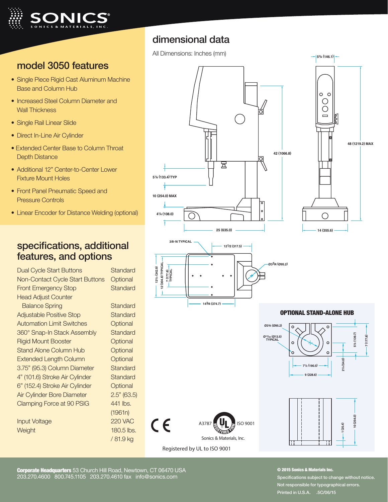

## model 3050 features

- Single Piece Rigid Cast Aluminum Machine Base and Column Hub
- Increased Steel Column Diameter and Wall Thickness
- Single Rail Linear Slide
- Direct In-Line Air Cylinder
- Extended Center Base to Column Throat Depth Distance
- Additional 12" Center-to-Center Lower Fixture Mount Holes
- Front Panel Pneumatic Speed and Pressure Controls
- Linear Encoder for Distance Welding (optional)

## specifications, additional features, and options

Dual Cycle Start Buttons Standard Non-Contact Cycle Start Buttons Optional Front Emergency Stop Standard Head Adjust Counter Balance Spring Standard Adjustable Positive Stop **Standard** Automation Limit Switches **Optional** 360° Snap-In Stack Assembly Standard Rigid Mount Booster **Optional** Stand Alone Column Hub **Optional** Extended Length Column Qptional 3.75" (95.3) Column Diameter Standard 4" (101.6) Stroke Air Cylinder Standard 6" (152.4) Stroke Air Cylinder Optional Air Cylinder Bore Diameter 2.5" (63.5) Clamping Force at 90 PSIG 441 lbs.

Input Voltage 220 VAC Weight 180.5 lbs.

(1961n) / 81.9 kg

## dimensional data

All Dimensions: Inches (mm)





#### OPTIONAL STAND-ALONE HUB



Sonics & Materials, Inc.

**48 (1219.2) MAX**

A3787  $\blacksquare$  UI  $\blacksquare$  ISO 9001

Registered by UL to ISO 9001

**42 (1066.8)**

Corporate Headquarters 53 Church Hill Road, Newtown, CT 06470 USA 203.270.4600 800.745.1105 203.270.4610 fax info@sonics.com

#### © 2015 Sonics & Materials Inc.

Specifications subject to change without notice. Not responsible for typographical errors. Printed in U.S.A. .5C/06/15